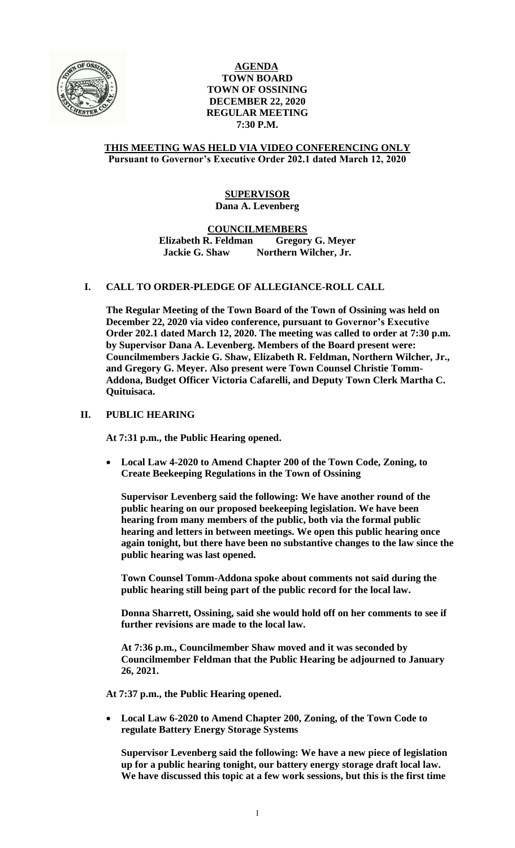

## **AGENDA TOWN BOARD TOWN OF OSSINING DECEMBER 22, 2020 REGULAR MEETING 7:30 P.M.**

## **THIS MEETING WAS HELD VIA VIDEO CONFERENCING ONLY Pursuant to Governor's Executive Order 202.1 dated March 12, 2020**

## **SUPERVISOR Dana A. Levenberg**

**COUNCILMEMBERS**

**Elizabeth R. Feldman Gregory G. Meyer Jackie G. Shaw Northern Wilcher, Jr.**

# **I. CALL TO ORDER-PLEDGE OF ALLEGIANCE-ROLL CALL**

**The Regular Meeting of the Town Board of the Town of Ossining was held on December 22, 2020 via video conference, pursuant to Governor's Executive Order 202.1 dated March 12, 2020. The meeting was called to order at 7:30 p.m. by Supervisor Dana A. Levenberg. Members of the Board present were: Councilmembers Jackie G. Shaw, Elizabeth R. Feldman, Northern Wilcher, Jr., and Gregory G. Meyer. Also present were Town Counsel Christie Tomm-Addona, Budget Officer Victoria Cafarelli, and Deputy Town Clerk Martha C. Quituisaca.**

# **II. PUBLIC HEARING**

**At 7:31 p.m., the Public Hearing opened.**

 **Local Law 4-2020 to Amend Chapter 200 of the Town Code, Zoning, to Create Beekeeping Regulations in the Town of Ossining**

**Supervisor Levenberg said the following: We have another round of the public hearing on our proposed beekeeping legislation. We have been hearing from many members of the public, both via the formal public hearing and letters in between meetings. We open this public hearing once again tonight, but there have been no substantive changes to the law since the public hearing was last opened.** 

**Town Counsel Tomm-Addona spoke about comments not said during the public hearing still being part of the public record for the local law.** 

**Donna Sharrett, Ossining, said she would hold off on her comments to see if further revisions are made to the local law.** 

**At 7:36 p.m., Councilmember Shaw moved and it was seconded by Councilmember Feldman that the Public Hearing be adjourned to January 26, 2021.**

**At 7:37 p.m., the Public Hearing opened.**

 **Local Law 6-2020 to Amend Chapter 200, Zoning, of the Town Code to regulate Battery Energy Storage Systems**

**Supervisor Levenberg said the following: We have a new piece of legislation up for a public hearing tonight, our battery energy storage draft local law. We have discussed this topic at a few work sessions, but this is the first time**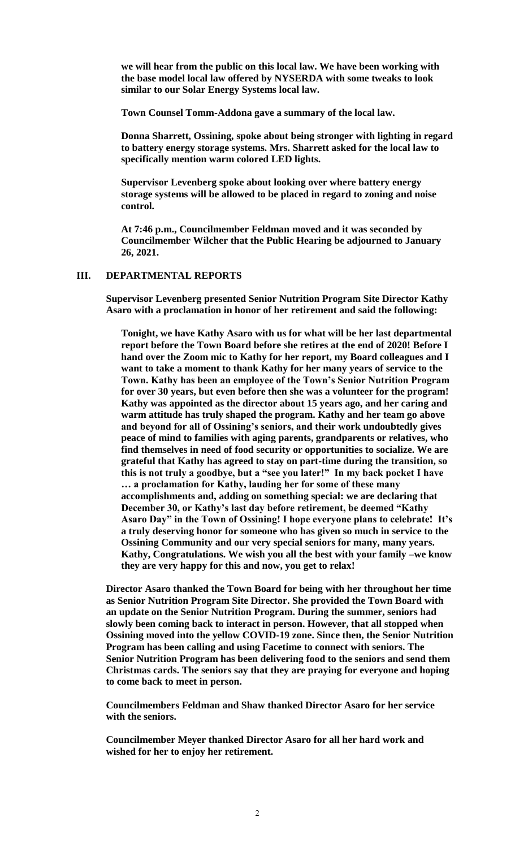**we will hear from the public on this local law. We have been working with the base model local law offered by NYSERDA with some tweaks to look similar to our Solar Energy Systems local law.**

**Town Counsel Tomm-Addona gave a summary of the local law.**

**Donna Sharrett, Ossining, spoke about being stronger with lighting in regard to battery energy storage systems. Mrs. Sharrett asked for the local law to specifically mention warm colored LED lights.** 

**Supervisor Levenberg spoke about looking over where battery energy storage systems will be allowed to be placed in regard to zoning and noise control.**

**At 7:46 p.m., Councilmember Feldman moved and it was seconded by Councilmember Wilcher that the Public Hearing be adjourned to January 26, 2021.**

# **III. DEPARTMENTAL REPORTS**

**Supervisor Levenberg presented Senior Nutrition Program Site Director Kathy Asaro with a proclamation in honor of her retirement and said the following:**

**Tonight, we have Kathy Asaro with us for what will be her last departmental report before the Town Board before she retires at the end of 2020! Before I hand over the Zoom mic to Kathy for her report, my Board colleagues and I want to take a moment to thank Kathy for her many years of service to the Town. Kathy has been an employee of the Town's Senior Nutrition Program for over 30 years, but even before then she was a volunteer for the program! Kathy was appointed as the director about 15 years ago, and her caring and warm attitude has truly shaped the program. Kathy and her team go above and beyond for all of Ossining's seniors, and their work undoubtedly gives peace of mind to families with aging parents, grandparents or relatives, who find themselves in need of food security or opportunities to socialize. We are grateful that Kathy has agreed to stay on part-time during the transition, so this is not truly a goodbye, but a "see you later!" In my back pocket I have … a proclamation for Kathy, lauding her for some of these many accomplishments and, adding on something special: we are declaring that December 30, or Kathy's last day before retirement, be deemed "Kathy Asaro Day" in the Town of Ossining! I hope everyone plans to celebrate! It's a truly deserving honor for someone who has given so much in service to the Ossining Community and our very special seniors for many, many years. Kathy, Congratulations. We wish you all the best with your family –we know they are very happy for this and now, you get to relax!**

**Director Asaro thanked the Town Board for being with her throughout her time as Senior Nutrition Program Site Director. She provided the Town Board with an update on the Senior Nutrition Program. During the summer, seniors had slowly been coming back to interact in person. However, that all stopped when Ossining moved into the yellow COVID-19 zone. Since then, the Senior Nutrition Program has been calling and using Facetime to connect with seniors. The Senior Nutrition Program has been delivering food to the seniors and send them Christmas cards. The seniors say that they are praying for everyone and hoping to come back to meet in person.**

**Councilmembers Feldman and Shaw thanked Director Asaro for her service with the seniors.**

**Councilmember Meyer thanked Director Asaro for all her hard work and wished for her to enjoy her retirement.**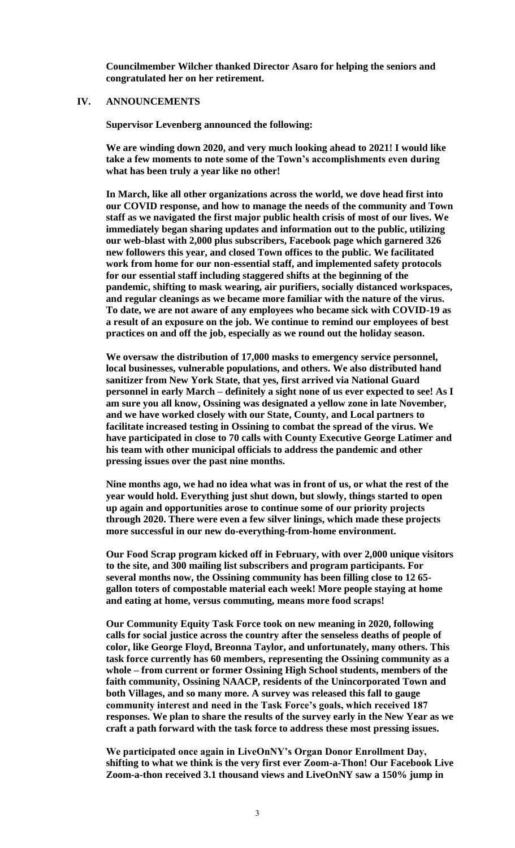**Councilmember Wilcher thanked Director Asaro for helping the seniors and congratulated her on her retirement.** 

### **IV. ANNOUNCEMENTS**

**Supervisor Levenberg announced the following:**

**We are winding down 2020, and very much looking ahead to 2021! I would like take a few moments to note some of the Town's accomplishments even during what has been truly a year like no other!**

**In March, like all other organizations across the world, we dove head first into our COVID response, and how to manage the needs of the community and Town staff as we navigated the first major public health crisis of most of our lives. We immediately began sharing updates and information out to the public, utilizing our web-blast with 2,000 plus subscribers, Facebook page which garnered 326 new followers this year, and closed Town offices to the public. We facilitated work from home for our non-essential staff, and implemented safety protocols for our essential staff including staggered shifts at the beginning of the pandemic, shifting to mask wearing, air purifiers, socially distanced workspaces, and regular cleanings as we became more familiar with the nature of the virus. To date, we are not aware of any employees who became sick with COVID-19 as a result of an exposure on the job. We continue to remind our employees of best practices on and off the job, especially as we round out the holiday season.** 

**We oversaw the distribution of 17,000 masks to emergency service personnel, local businesses, vulnerable populations, and others. We also distributed hand sanitizer from New York State, that yes, first arrived via National Guard personnel in early March – definitely a sight none of us ever expected to see! As I am sure you all know, Ossining was designated a yellow zone in late November, and we have worked closely with our State, County, and Local partners to facilitate increased testing in Ossining to combat the spread of the virus. We have participated in close to 70 calls with County Executive George Latimer and his team with other municipal officials to address the pandemic and other pressing issues over the past nine months.** 

**Nine months ago, we had no idea what was in front of us, or what the rest of the year would hold. Everything just shut down, but slowly, things started to open up again and opportunities arose to continue some of our priority projects through 2020. There were even a few silver linings, which made these projects more successful in our new do-everything-from-home environment.** 

**Our Food Scrap program kicked off in February, with over 2,000 unique visitors to the site, and 300 mailing list subscribers and program participants. For several months now, the Ossining community has been filling close to 12 65 gallon toters of compostable material each week! More people staying at home and eating at home, versus commuting, means more food scraps!**

**Our Community Equity Task Force took on new meaning in 2020, following calls for social justice across the country after the senseless deaths of people of color, like George Floyd, Breonna Taylor, and unfortunately, many others. This task force currently has 60 members, representing the Ossining community as a whole – from current or former Ossining High School students, members of the faith community, Ossining NAACP, residents of the Unincorporated Town and both Villages, and so many more. A survey was released this fall to gauge community interest and need in the Task Force's goals, which received 187 responses. We plan to share the results of the survey early in the New Year as we craft a path forward with the task force to address these most pressing issues.**

**We participated once again in LiveOnNY's Organ Donor Enrollment Day, shifting to what we think is the very first ever Zoom-a-Thon! Our Facebook Live Zoom-a-thon received 3.1 thousand views and LiveOnNY saw a 150% jump in**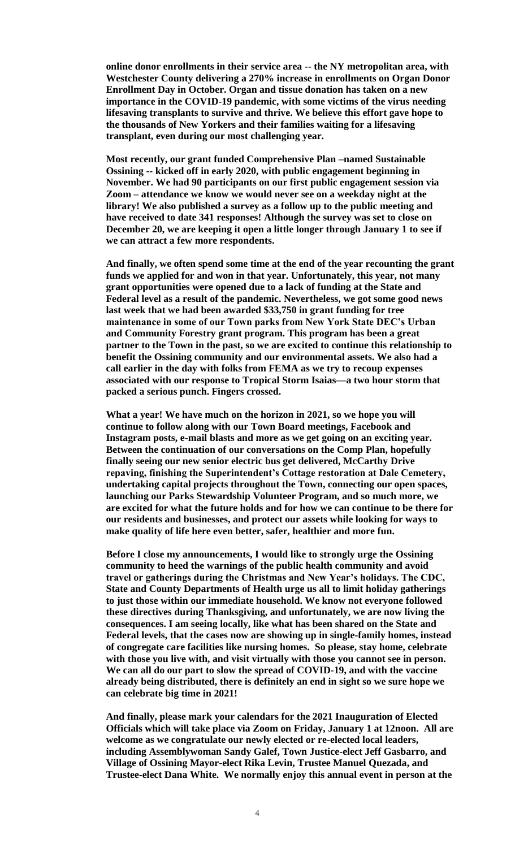**online donor enrollments in their service area -- the NY metropolitan area, with Westchester County delivering a 270% increase in enrollments on Organ Donor Enrollment Day in October. Organ and tissue donation has taken on a new importance in the COVID-19 pandemic, with some victims of the virus needing lifesaving transplants to survive and thrive. We believe this effort gave hope to the thousands of New Yorkers and their families waiting for a lifesaving transplant, even during our most challenging year.** 

**Most recently, our grant funded Comprehensive Plan –named Sustainable Ossining -- kicked off in early 2020, with public engagement beginning in November. We had 90 participants on our first public engagement session via Zoom – attendance we know we would never see on a weekday night at the library! We also published a survey as a follow up to the public meeting and have received to date 341 responses! Although the survey was set to close on December 20, we are keeping it open a little longer through January 1 to see if we can attract a few more respondents.** 

**And finally, we often spend some time at the end of the year recounting the grant funds we applied for and won in that year. Unfortunately, this year, not many grant opportunities were opened due to a lack of funding at the State and Federal level as a result of the pandemic. Nevertheless, we got some good news last week that we had been awarded \$33,750 in grant funding for tree maintenance in some of our Town parks from New York State DEC's Urban and Community Forestry grant program. This program has been a great partner to the Town in the past, so we are excited to continue this relationship to benefit the Ossining community and our environmental assets. We also had a call earlier in the day with folks from FEMA as we try to recoup expenses associated with our response to Tropical Storm Isaias—a two hour storm that packed a serious punch. Fingers crossed.**

**What a year! We have much on the horizon in 2021, so we hope you will continue to follow along with our Town Board meetings, Facebook and Instagram posts, e-mail blasts and more as we get going on an exciting year. Between the continuation of our conversations on the Comp Plan, hopefully finally seeing our new senior electric bus get delivered, McCarthy Drive repaving, finishing the Superintendent's Cottage restoration at Dale Cemetery, undertaking capital projects throughout the Town, connecting our open spaces, launching our Parks Stewardship Volunteer Program, and so much more, we are excited for what the future holds and for how we can continue to be there for our residents and businesses, and protect our assets while looking for ways to make quality of life here even better, safer, healthier and more fun.**

**Before I close my announcements, I would like to strongly urge the Ossining community to heed the warnings of the public health community and avoid travel or gatherings during the Christmas and New Year's holidays. The CDC, State and County Departments of Health urge us all to limit holiday gatherings to just those within our immediate household. We know not everyone followed these directives during Thanksgiving, and unfortunately, we are now living the consequences. I am seeing locally, like what has been shared on the State and Federal levels, that the cases now are showing up in single-family homes, instead of congregate care facilities like nursing homes. So please, stay home, celebrate with those you live with, and visit virtually with those you cannot see in person. We can all do our part to slow the spread of COVID-19, and with the vaccine already being distributed, there is definitely an end in sight so we sure hope we can celebrate big time in 2021!** 

**And finally, please mark your calendars for the 2021 Inauguration of Elected Officials which will take place via Zoom on Friday, January 1 at 12noon. All are welcome as we congratulate our newly elected or re-elected local leaders, including Assemblywoman Sandy Galef, Town Justice-elect Jeff Gasbarro, and Village of Ossining Mayor-elect Rika Levin, Trustee Manuel Quezada, and Trustee-elect Dana White. We normally enjoy this annual event in person at the**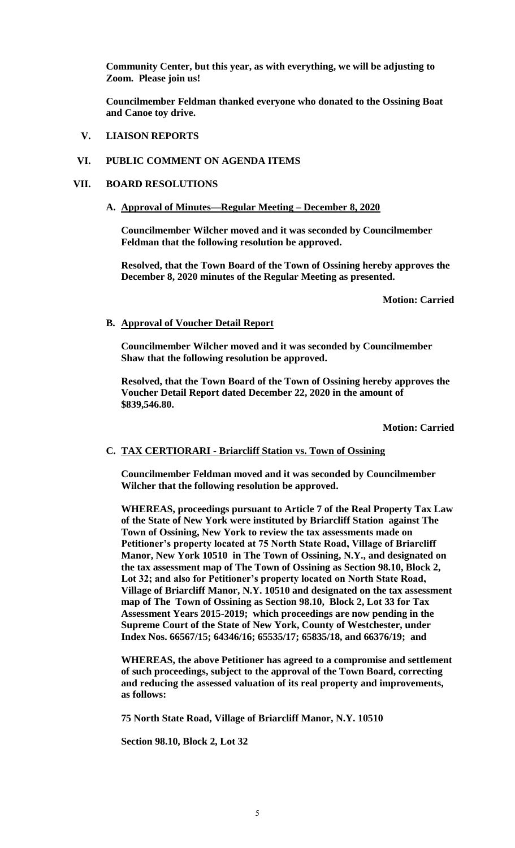**Community Center, but this year, as with everything, we will be adjusting to Zoom. Please join us!**

**Councilmember Feldman thanked everyone who donated to the Ossining Boat and Canoe toy drive.**

**V. LIAISON REPORTS**

## **VI. PUBLIC COMMENT ON AGENDA ITEMS**

### **VII. BOARD RESOLUTIONS**

### **A. Approval of Minutes—Regular Meeting – December 8, 2020**

**Councilmember Wilcher moved and it was seconded by Councilmember Feldman that the following resolution be approved.**

**Resolved, that the Town Board of the Town of Ossining hereby approves the December 8, 2020 minutes of the Regular Meeting as presented.**

**Motion: Carried**

### **B. Approval of Voucher Detail Report**

**Councilmember Wilcher moved and it was seconded by Councilmember Shaw that the following resolution be approved.**

**Resolved, that the Town Board of the Town of Ossining hereby approves the Voucher Detail Report dated December 22, 2020 in the amount of \$839,546.80.**

**Motion: Carried**

# **C. TAX CERTIORARI - Briarcliff Station vs. Town of Ossining**

**Councilmember Feldman moved and it was seconded by Councilmember Wilcher that the following resolution be approved.**

**WHEREAS, proceedings pursuant to Article 7 of the Real Property Tax Law of the State of New York were instituted by Briarcliff Station against The Town of Ossining, New York to review the tax assessments made on Petitioner's property located at 75 North State Road, Village of Briarcliff Manor, New York 10510 in The Town of Ossining, N.Y., and designated on the tax assessment map of The Town of Ossining as Section 98.10, Block 2, Lot 32; and also for Petitioner's property located on North State Road, Village of Briarcliff Manor, N.Y. 10510 and designated on the tax assessment map of The Town of Ossining as Section 98.10, Block 2, Lot 33 for Tax Assessment Years 2015-2019; which proceedings are now pending in the Supreme Court of the State of New York, County of Westchester, under Index Nos. 66567/15; 64346/16; 65535/17; 65835/18, and 66376/19; and** 

**WHEREAS, the above Petitioner has agreed to a compromise and settlement of such proceedings, subject to the approval of the Town Board, correcting and reducing the assessed valuation of its real property and improvements, as follows:**

**75 North State Road, Village of Briarcliff Manor, N.Y. 10510** 

**Section 98.10, Block 2, Lot 32**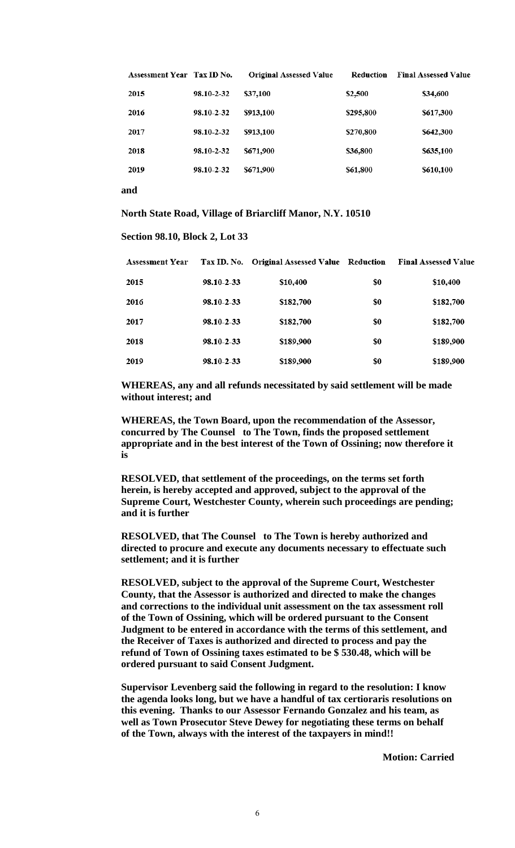| <b>Assessment Year Tax ID No.</b> |            | <b>Original Assessed Value</b> | Reduction | <b>Final Assessed Value</b> |
|-----------------------------------|------------|--------------------------------|-----------|-----------------------------|
| 2015                              | 98.10-2-32 | \$37,100                       | \$2.500   | \$34,600                    |
| 2016                              | 98.10-2-32 | \$913,100                      | \$295,800 | \$617,300                   |
| 2017                              | 98.10-2-32 | \$913,100                      | \$270,800 | \$642,300                   |
| 2018                              | 98.10-2-32 | \$671,900                      | \$36,800  | \$635,100                   |
| 2019                              | 98.10-2-32 | \$671,900                      | \$61,800  | \$610,100                   |
|                                   |            |                                |           |                             |

**and**

**North State Road, Village of Briarcliff Manor, N.Y. 10510**

#### **Section 98.10, Block 2, Lot 33**

| <b>Assessment Year</b> |            | Tax ID. No. Original Assessed Value Reduction |     | <b>Final Assessed Value</b> |  |
|------------------------|------------|-----------------------------------------------|-----|-----------------------------|--|
| 2015                   | 98.10-2-33 | \$10,400                                      | \$0 | \$10,400                    |  |
| 2016                   | 98.10-2-33 | \$182,700                                     | \$0 | \$182,700                   |  |
| 2017                   | 98.10-2-33 | \$182,700                                     | \$0 | \$182,700                   |  |
| 2018                   | 98.10-2-33 | \$189,900                                     | \$0 | \$189,900                   |  |
| 2019                   | 98.10-2-33 | \$189,900                                     | \$0 | \$189,900                   |  |

**WHEREAS, any and all refunds necessitated by said settlement will be made without interest; and** 

**WHEREAS, the Town Board, upon the recommendation of the Assessor, concurred by The Counsel to The Town, finds the proposed settlement appropriate and in the best interest of the Town of Ossining; now therefore it is**

**RESOLVED, that settlement of the proceedings, on the terms set forth herein, is hereby accepted and approved, subject to the approval of the Supreme Court, Westchester County, wherein such proceedings are pending; and it is further**

**RESOLVED, that The Counsel to The Town is hereby authorized and directed to procure and execute any documents necessary to effectuate such settlement; and it is further**

**RESOLVED, subject to the approval of the Supreme Court, Westchester County, that the Assessor is authorized and directed to make the changes and corrections to the individual unit assessment on the tax assessment roll of the Town of Ossining, which will be ordered pursuant to the Consent Judgment to be entered in accordance with the terms of this settlement, and the Receiver of Taxes is authorized and directed to process and pay the refund of Town of Ossining taxes estimated to be \$ 530.48, which will be ordered pursuant to said Consent Judgment.** 

**Supervisor Levenberg said the following in regard to the resolution: I know the agenda looks long, but we have a handful of tax certioraris resolutions on this evening. Thanks to our Assessor Fernando Gonzalez and his team, as well as Town Prosecutor Steve Dewey for negotiating these terms on behalf of the Town, always with the interest of the taxpayers in mind!!**

**Motion: Carried**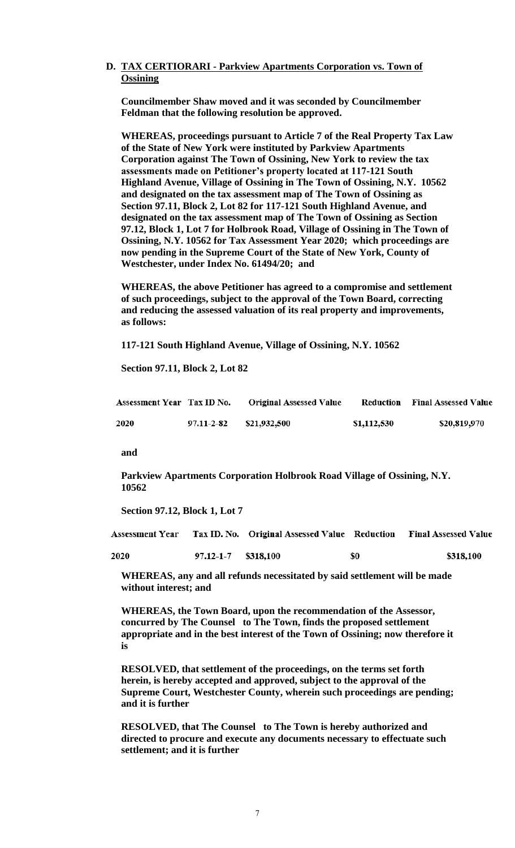## **D. TAX CERTIORARI - Parkview Apartments Corporation vs. Town of Ossining**

**Councilmember Shaw moved and it was seconded by Councilmember Feldman that the following resolution be approved.**

**WHEREAS, proceedings pursuant to Article 7 of the Real Property Tax Law of the State of New York were instituted by Parkview Apartments Corporation against The Town of Ossining, New York to review the tax assessments made on Petitioner's property located at 117-121 South Highland Avenue, Village of Ossining in The Town of Ossining, N.Y. 10562 and designated on the tax assessment map of The Town of Ossining as Section 97.11, Block 2, Lot 82 for 117-121 South Highland Avenue, and designated on the tax assessment map of The Town of Ossining as Section 97.12, Block 1, Lot 7 for Holbrook Road, Village of Ossining in The Town of Ossining, N.Y. 10562 for Tax Assessment Year 2020; which proceedings are now pending in the Supreme Court of the State of New York, County of Westchester, under Index No. 61494/20; and** 

**WHEREAS, the above Petitioner has agreed to a compromise and settlement of such proceedings, subject to the approval of the Town Board, correcting and reducing the assessed valuation of its real property and improvements, as follows:**

**117-121 South Highland Avenue, Village of Ossining, N.Y. 10562** 

**Section 97.11, Block 2, Lot 82**

| Assessment Year Tax ID No. |            | <b>Original Assessed Value</b> |             | <b>Reduction</b> Final Assessed Value |
|----------------------------|------------|--------------------------------|-------------|---------------------------------------|
| <b>2020</b>                | 97.11-2-82 | \$21,932,500                   | \$1,112,530 | \$20,819,970                          |

**and**

**Parkview Apartments Corporation Holbrook Road Village of Ossining, N.Y. 10562**

**Section 97.12, Block 1, Lot 7** 

Tax ID. No. Original Assessed Value Reduction **Assessment Year Final Assessed Value** 

| 2020 | $97.12 - 1 - 7$ \$318,100 | \$0 | \$318,100 |
|------|---------------------------|-----|-----------|
|      |                           |     |           |

**WHEREAS, any and all refunds necessitated by said settlement will be made without interest; and** 

**WHEREAS, the Town Board, upon the recommendation of the Assessor, concurred by The Counsel to The Town, finds the proposed settlement appropriate and in the best interest of the Town of Ossining; now therefore it is**

**RESOLVED, that settlement of the proceedings, on the terms set forth herein, is hereby accepted and approved, subject to the approval of the Supreme Court, Westchester County, wherein such proceedings are pending; and it is further**

**RESOLVED, that The Counsel to The Town is hereby authorized and directed to procure and execute any documents necessary to effectuate such settlement; and it is further**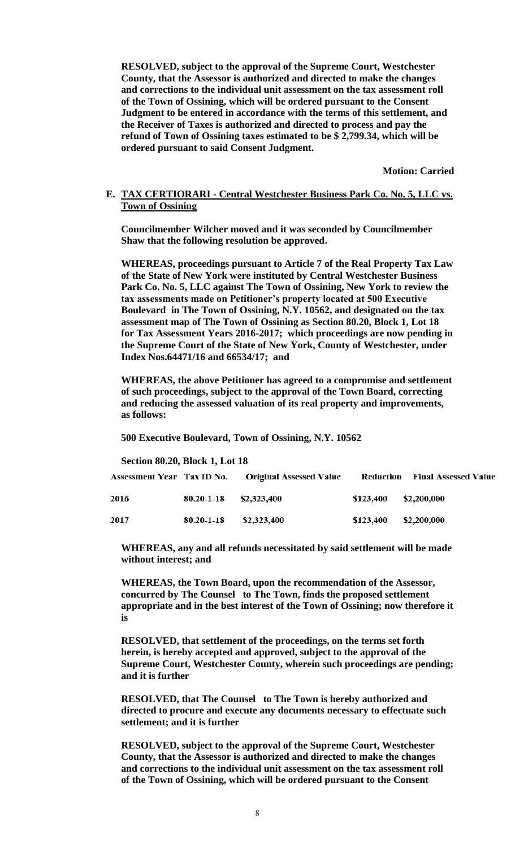**RESOLVED, subject to the approval of the Supreme Court, Westchester County, that the Assessor is authorized and directed to make the changes and corrections to the individual unit assessment on the tax assessment roll of the Town of Ossining, which will be ordered pursuant to the Consent Judgment to be entered in accordance with the terms of this settlement, and the Receiver of Taxes is authorized and directed to process and pay the refund of Town of Ossining taxes estimated to be \$ 2,799.34, which will be ordered pursuant to said Consent Judgment.** 

**Motion: Carried**

### **E. TAX CERTIORARI - Central Westchester Business Park Co. No. 5, LLC vs. Town of Ossining**

**Councilmember Wilcher moved and it was seconded by Councilmember Shaw that the following resolution be approved.**

**WHEREAS, proceedings pursuant to Article 7 of the Real Property Tax Law of the State of New York were instituted by Central Westchester Business Park Co. No. 5, LLC against The Town of Ossining, New York to review the tax assessments made on Petitioner's property located at 500 Executive Boulevard in The Town of Ossining, N.Y. 10562, and designated on the tax assessment map of The Town of Ossining as Section 80.20, Block 1, Lot 18 for Tax Assessment Years 2016-2017; which proceedings are now pending in the Supreme Court of the State of New York, County of Westchester, under Index Nos.64471/16 and 66534/17; and** 

**WHEREAS, the above Petitioner has agreed to a compromise and settlement of such proceedings, subject to the approval of the Town Board, correcting and reducing the assessed valuation of its real property and improvements, as follows:**

**500 Executive Boulevard, Town of Ossining, N.Y. 10562** 

**Section 80.20, Block 1, Lot 18**

| Assessment Year Tax ID No. |                  | <b>Original Assessed Value</b> | Reduction | <b>Final Assessed Value</b> |
|----------------------------|------------------|--------------------------------|-----------|-----------------------------|
| 2016                       | $80.20 - 1 - 18$ | \$2,323,400                    | \$123,400 | \$2,200,000                 |
| 2017                       | $80.20 - 1 - 18$ | \$2,323,400                    | \$123,400 | \$2,200,000                 |

**WHEREAS, any and all refunds necessitated by said settlement will be made without interest; and** 

**WHEREAS, the Town Board, upon the recommendation of the Assessor, concurred by The Counsel to The Town, finds the proposed settlement appropriate and in the best interest of the Town of Ossining; now therefore it is**

**RESOLVED, that settlement of the proceedings, on the terms set forth herein, is hereby accepted and approved, subject to the approval of the Supreme Court, Westchester County, wherein such proceedings are pending; and it is further**

**RESOLVED, that The Counsel to The Town is hereby authorized and directed to procure and execute any documents necessary to effectuate such settlement; and it is further**

**RESOLVED, subject to the approval of the Supreme Court, Westchester County, that the Assessor is authorized and directed to make the changes and corrections to the individual unit assessment on the tax assessment roll of the Town of Ossining, which will be ordered pursuant to the Consent**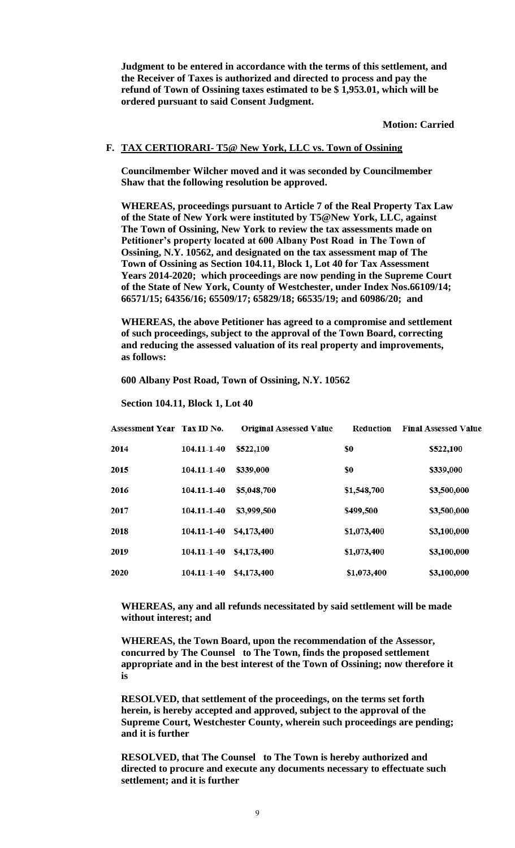**Judgment to be entered in accordance with the terms of this settlement, and the Receiver of Taxes is authorized and directed to process and pay the refund of Town of Ossining taxes estimated to be \$ 1,953.01, which will be ordered pursuant to said Consent Judgment.** 

**Motion: Carried**

#### **F. TAX CERTIORARI- T5@ New York, LLC vs. Town of Ossining**

**Councilmember Wilcher moved and it was seconded by Councilmember Shaw that the following resolution be approved.**

**WHEREAS, proceedings pursuant to Article 7 of the Real Property Tax Law of the State of New York were instituted by T5@New York, LLC, against The Town of Ossining, New York to review the tax assessments made on Petitioner's property located at 600 Albany Post Road in The Town of Ossining, N.Y. 10562, and designated on the tax assessment map of The Town of Ossining as Section 104.11, Block 1, Lot 40 for Tax Assessment Years 2014-2020; which proceedings are now pending in the Supreme Court of the State of New York, County of Westchester, under Index Nos.66109/14; 66571/15; 64356/16; 65509/17; 65829/18; 66535/19; and 60986/20; and** 

**WHEREAS, the above Petitioner has agreed to a compromise and settlement of such proceedings, subject to the approval of the Town Board, correcting and reducing the assessed valuation of its real property and improvements, as follows:**

**600 Albany Post Road, Town of Ossining, N.Y. 10562** 

**Section 104.11, Block 1, Lot 40**

| Assessment Year Tax ID No. |                   | <b>Original Assessed Value</b> | Reduction   | <b>Final Assessed Value</b> |
|----------------------------|-------------------|--------------------------------|-------------|-----------------------------|
| 2014                       | $104.11 - 1 - 40$ | \$522,100                      | \$0         | \$522,100                   |
| 2015                       | 104.11-1-40       | \$339,000                      | \$0         | \$339,000                   |
| 2016                       | 104.11-1-40       | \$5,048,700                    | \$1,548,700 | \$3,500,000                 |
| 2017                       | 104.11-1-40       | \$3,999,500                    | \$499,500   | \$3,500,000                 |
| 2018                       | 104.11-1-40       | \$4,173,400                    | \$1,073,400 | \$3,100,000                 |
| 2019                       | 104.11-1-40       | \$4,173,400                    | \$1,073,400 | \$3,100,000                 |
| 2020                       | 104.11-1-40       | \$4,173,400                    | \$1,073,400 | \$3,100,000                 |

**WHEREAS, any and all refunds necessitated by said settlement will be made without interest; and** 

**WHEREAS, the Town Board, upon the recommendation of the Assessor, concurred by The Counsel to The Town, finds the proposed settlement appropriate and in the best interest of the Town of Ossining; now therefore it is**

**RESOLVED, that settlement of the proceedings, on the terms set forth herein, is hereby accepted and approved, subject to the approval of the Supreme Court, Westchester County, wherein such proceedings are pending; and it is further**

**RESOLVED, that The Counsel to The Town is hereby authorized and directed to procure and execute any documents necessary to effectuate such settlement; and it is further**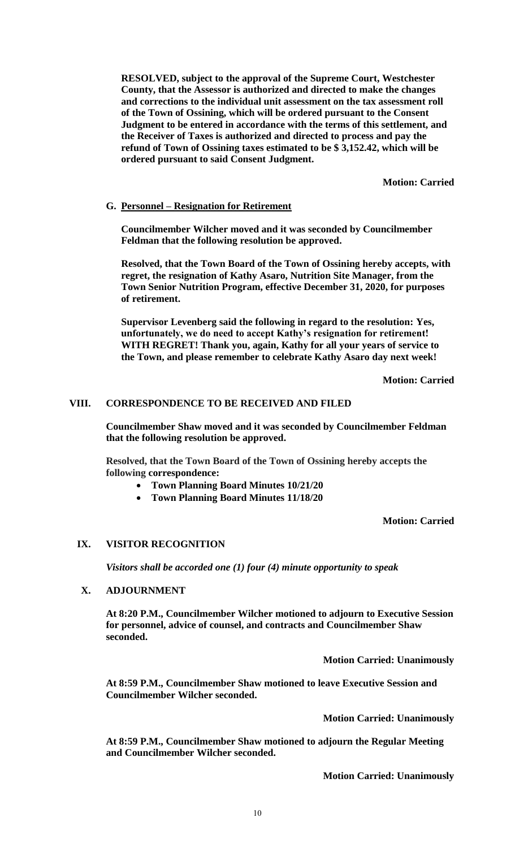**RESOLVED, subject to the approval of the Supreme Court, Westchester County, that the Assessor is authorized and directed to make the changes and corrections to the individual unit assessment on the tax assessment roll of the Town of Ossining, which will be ordered pursuant to the Consent Judgment to be entered in accordance with the terms of this settlement, and the Receiver of Taxes is authorized and directed to process and pay the refund of Town of Ossining taxes estimated to be \$ 3,152.42, which will be ordered pursuant to said Consent Judgment.** 

**Motion: Carried**

## **G. Personnel – Resignation for Retirement**

**Councilmember Wilcher moved and it was seconded by Councilmember Feldman that the following resolution be approved.**

**Resolved, that the Town Board of the Town of Ossining hereby accepts, with regret, the resignation of Kathy Asaro, Nutrition Site Manager, from the Town Senior Nutrition Program, effective December 31, 2020, for purposes of retirement.**

**Supervisor Levenberg said the following in regard to the resolution: Yes, unfortunately, we do need to accept Kathy's resignation for retirement! WITH REGRET! Thank you, again, Kathy for all your years of service to the Town, and please remember to celebrate Kathy Asaro day next week!**

**Motion: Carried**

## **VIII. CORRESPONDENCE TO BE RECEIVED AND FILED**

**Councilmember Shaw moved and it was seconded by Councilmember Feldman that the following resolution be approved.**

**Resolved, that the Town Board of the Town of Ossining hereby accepts the following correspondence:**

- **Town Planning Board Minutes 10/21/20**
- **Town Planning Board Minutes 11/18/20**

**Motion: Carried**

#### **IX. VISITOR RECOGNITION**

*Visitors shall be accorded one (1) four (4) minute opportunity to speak*

## **X. ADJOURNMENT**

**At 8:20 P.M., Councilmember Wilcher motioned to adjourn to Executive Session for personnel, advice of counsel, and contracts and Councilmember Shaw seconded.** 

**Motion Carried: Unanimously**

**At 8:59 P.M., Councilmember Shaw motioned to leave Executive Session and Councilmember Wilcher seconded.**

**Motion Carried: Unanimously**

**At 8:59 P.M., Councilmember Shaw motioned to adjourn the Regular Meeting and Councilmember Wilcher seconded.** 

**Motion Carried: Unanimously**